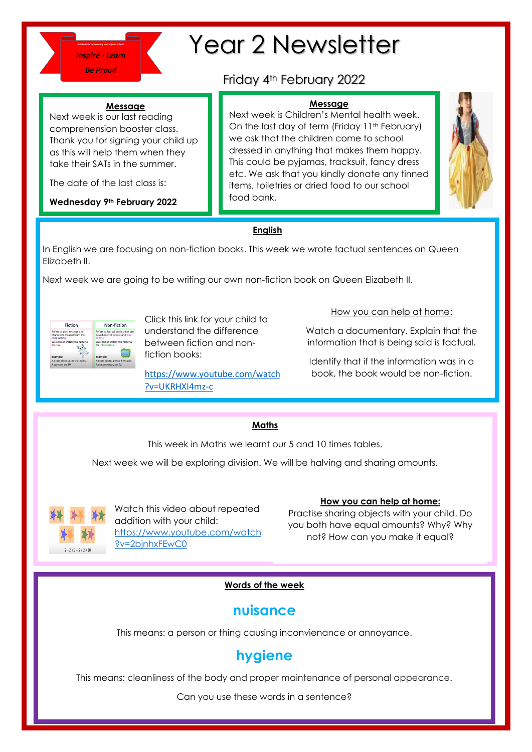

The date of the last class is:

**Wednesday 9th February 2022**

**Message** Next week is our last reading comprehension booster class. Thank you for signing your child up as this will help them when they take their SATs in the summer.

# Year 2 Newsletter

## Friday 4th February 2022

#### **Message**

Next week is Children's Mental health week. On the last day of term (Friday 11<sup>th</sup> February) we ask that the children come to school dressed in anything that makes them happy. This could be pyjamas, tracksuit, fancy dress etc. We ask that you kindly donate any tinned items, toiletries or dried food to our school food bank.



#### **English**

In English we are focusing on non-fiction books. This week we wrote factual sentences on Queen Elizabeth II.

Next week we are going to be writing our own non-fiction book on Queen Elizabeth II.



Click this link for your child to understand the difference between fiction and nonfiction books:

[https://www.youtube.com/watch](https://www.youtube.com/watch?v=UKRHXI4mz-c) [?v=UKRHXI4mz-c](https://www.youtube.com/watch?v=UKRHXI4mz-c)

How you can help at home:

Watch a documentary. Explain that the information that is being said is factual.

Identify that if the information was in a book, the book would be non-fiction.

### **Maths**

This week in Maths we learnt our 5 and 10 times tables.

Next week we will be exploring division. We will be halving and sharing amounts.



Watch this video about repeated addition with your child: [https://www.youtube.com/watch](https://www.youtube.com/watch?v=2bjnhxFEwC0) [?v=2bjnhxFEwC0](https://www.youtube.com/watch?v=2bjnhxFEwC0)

**How you can help at home:**

Practise sharing objects with your child. Do you both have equal amounts? Why? Why not? How can you make it equal?

#### **Words of the week**

## **nuisance**

This means: a person or thing causing inconvienance or annoyance.

## **hygiene**

This means: cleanliness of the body and proper maintenance of personal appearance.

Can you use these words in a sentence?